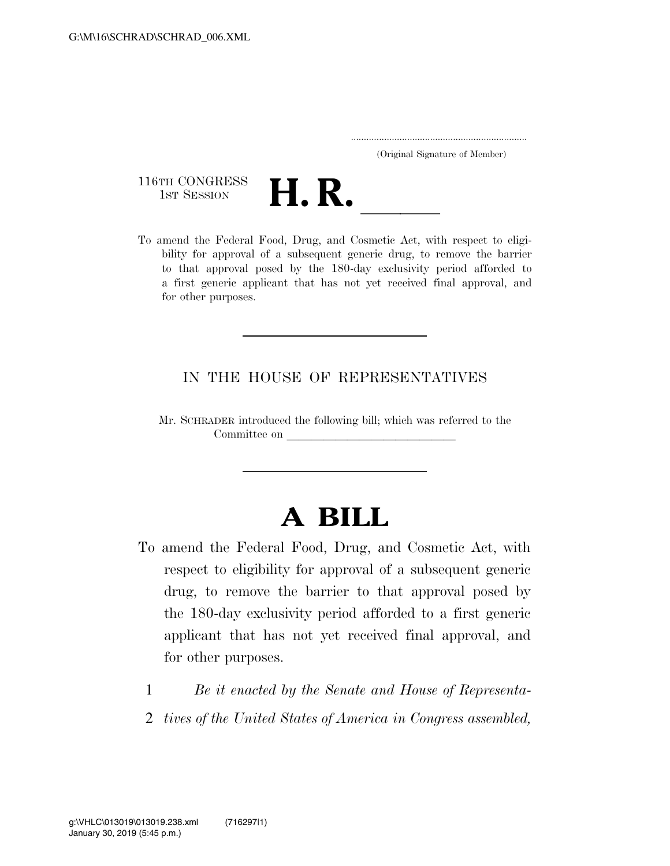.....................................................................

(Original Signature of Member)

116TH CONGRESS<br>1st Session



116TH CONGRESS<br>
1st SESSION<br>
To amend the Federal Food, Drug, and Cosmetic Act, with respect to eligibility for approval of a subsequent generic drug, to remove the barrier to that approval posed by the 180-day exclusivity period afforded to a first generic applicant that has not yet received final approval, and for other purposes.

## IN THE HOUSE OF REPRESENTATIVES

Mr. SCHRADER introduced the following bill; which was referred to the Committee on

## **A BILL**

- To amend the Federal Food, Drug, and Cosmetic Act, with respect to eligibility for approval of a subsequent generic drug, to remove the barrier to that approval posed by the 180-day exclusivity period afforded to a first generic applicant that has not yet received final approval, and for other purposes.
	- 1 *Be it enacted by the Senate and House of Representa-*
	- 2 *tives of the United States of America in Congress assembled,*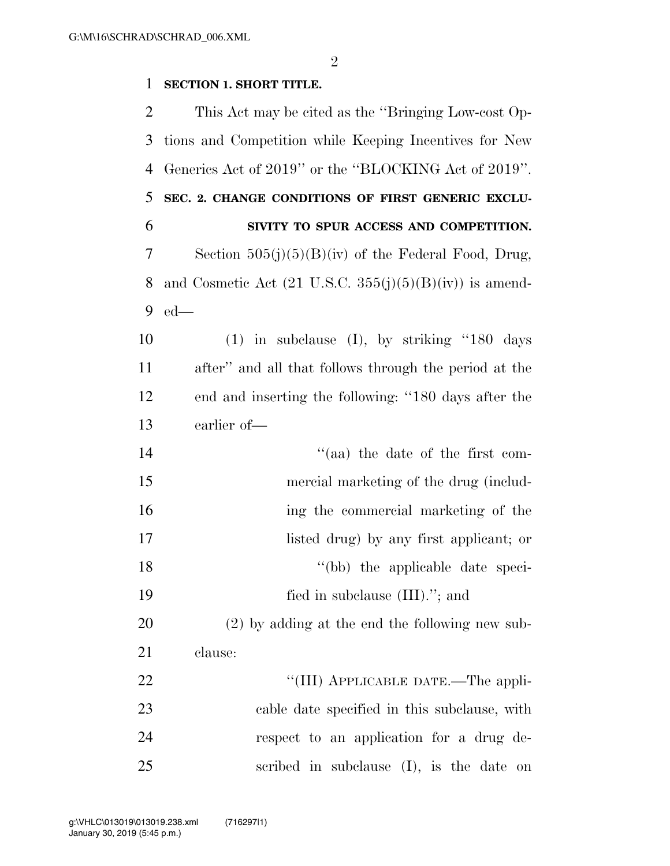## **SECTION 1. SHORT TITLE.**

| 2  | This Act may be cited as the "Bringing Low-cost Op-                |
|----|--------------------------------------------------------------------|
| 3  | tions and Competition while Keeping Incentives for New             |
| 4  | Generics Act of 2019" or the "BLOCKING Act of 2019".               |
| 5  | SEC. 2. CHANGE CONDITIONS OF FIRST GENERIC EXCLU-                  |
| 6  | SIVITY TO SPUR ACCESS AND COMPETITION.                             |
| 7  | Section $505(j)(5)(B)(iv)$ of the Federal Food, Drug,              |
| 8  | and Cosmetic Act $(21 \text{ U.S.C. } 355(j)(5)(B)(iv))$ is amend- |
| 9  | $ed$ —                                                             |
| 10 | $(1)$ in subclause $(I)$ , by striking "180 days"                  |
| 11 | after" and all that follows through the period at the              |
| 12 | end and inserting the following: "180 days after the               |
| 13 | earlier of-                                                        |
| 14 | "(aa) the date of the first com-                                   |
| 15 | mercial marketing of the drug (includ-                             |
| 16 | ing the commercial marketing of the                                |
| 17 | listed drug) by any first applicant; or                            |
| 18 | "(bb) the applicable date speci-                                   |
| 19 | fied in subclause $(III)$ ."; and                                  |
| 20 | $(2)$ by adding at the end the following new sub-                  |
| 21 | clause:                                                            |
| 22 | "(III) APPLICABLE DATE.—The appli-                                 |
| 23 | cable date specified in this subclause, with                       |
| 24 | respect to an application for a drug de-                           |
| 25 | scribed in subclause (I), is the date on                           |